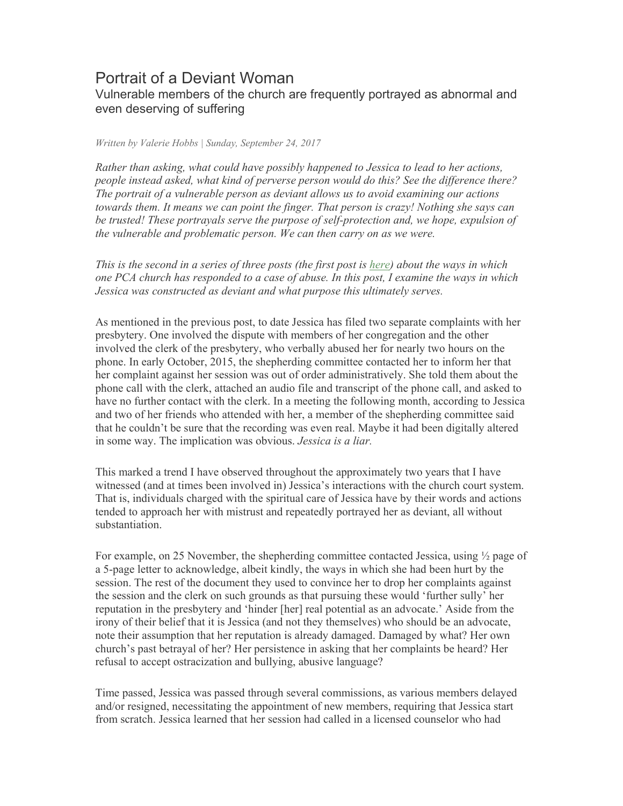## Portrait of a Deviant Woman

Vulnerable members of the church are frequently portrayed as abnormal and even deserving of suffering

## *Written by Valerie Hobbs | Sunday, September 24, 2017*

*Rather than asking, what could have possibly happened to Jessica to lead to her actions, people instead asked, what kind of perverse person would do this? See the difference there? The portrait of a vulnerable person as deviant allows us to avoid examining our actions towards them. It means we can point the finger. That person is crazy! Nothing she says can be trusted! These portrayals serve the purpose of self-protection and, we hope, expulsion of the vulnerable and problematic person. We can then carry on as we were.*

*This is the second in a series of three posts (the first post is here) about the ways in which one PCA church has responded to a case of abuse. In this post, I examine the ways in which Jessica was constructed as deviant and what purpose this ultimately serves.*

As mentioned in the previous post, to date Jessica has filed two separate complaints with her presbytery. One involved the dispute with members of her congregation and the other involved the clerk of the presbytery, who verbally abused her for nearly two hours on the phone. In early October, 2015, the shepherding committee contacted her to inform her that her complaint against her session was out of order administratively. She told them about the phone call with the clerk, attached an audio file and transcript of the phone call, and asked to have no further contact with the clerk. In a meeting the following month, according to Jessica and two of her friends who attended with her, a member of the shepherding committee said that he couldn't be sure that the recording was even real. Maybe it had been digitally altered in some way. The implication was obvious. *Jessica is a liar.*

This marked a trend I have observed throughout the approximately two years that I have witnessed (and at times been involved in) Jessica's interactions with the church court system. That is, individuals charged with the spiritual care of Jessica have by their words and actions tended to approach her with mistrust and repeatedly portrayed her as deviant, all without substantiation.

For example, on 25 November, the shepherding committee contacted Jessica, using  $\frac{1}{2}$  page of a 5-page letter to acknowledge, albeit kindly, the ways in which she had been hurt by the session. The rest of the document they used to convince her to drop her complaints against the session and the clerk on such grounds as that pursuing these would 'further sully' her reputation in the presbytery and 'hinder [her] real potential as an advocate.' Aside from the irony of their belief that it is Jessica (and not they themselves) who should be an advocate, note their assumption that her reputation is already damaged. Damaged by what? Her own church's past betrayal of her? Her persistence in asking that her complaints be heard? Her refusal to accept ostracization and bullying, abusive language?

Time passed, Jessica was passed through several commissions, as various members delayed and/or resigned, necessitating the appointment of new members, requiring that Jessica start from scratch. Jessica learned that her session had called in a licensed counselor who had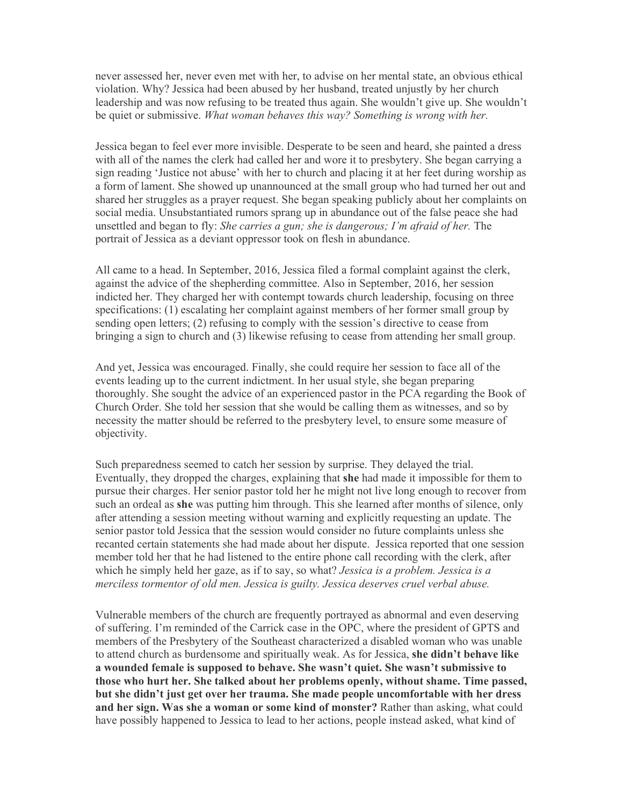never assessed her, never even met with her, to advise on her mental state, an obvious ethical violation. Why? Jessica had been abused by her husband, treated unjustly by her church leadership and was now refusing to be treated thus again. She wouldn't give up. She wouldn't be quiet or submissive. *What woman behaves this way? Something is wrong with her.*

Jessica began to feel ever more invisible. Desperate to be seen and heard, she painted a dress with all of the names the clerk had called her and wore it to presbytery. She began carrying a sign reading 'Justice not abuse' with her to church and placing it at her feet during worship as a form of lament. She showed up unannounced at the small group who had turned her out and shared her struggles as a prayer request. She began speaking publicly about her complaints on social media. Unsubstantiated rumors sprang up in abundance out of the false peace she had unsettled and began to fly: *She carries a gun; she is dangerous; I'm afraid of her.* The portrait of Jessica as a deviant oppressor took on flesh in abundance.

All came to a head. In September, 2016, Jessica filed a formal complaint against the clerk, against the advice of the shepherding committee. Also in September, 2016, her session indicted her. They charged her with contempt towards church leadership, focusing on three specifications: (1) escalating her complaint against members of her former small group by sending open letters; (2) refusing to comply with the session's directive to cease from bringing a sign to church and (3) likewise refusing to cease from attending her small group.

And yet, Jessica was encouraged. Finally, she could require her session to face all of the events leading up to the current indictment. In her usual style, she began preparing thoroughly. She sought the advice of an experienced pastor in the PCA regarding the Book of Church Order. She told her session that she would be calling them as witnesses, and so by necessity the matter should be referred to the presbytery level, to ensure some measure of objectivity.

Such preparedness seemed to catch her session by surprise. They delayed the trial. Eventually, they dropped the charges, explaining that **she** had made it impossible for them to pursue their charges. Her senior pastor told her he might not live long enough to recover from such an ordeal as **she** was putting him through. This she learned after months of silence, only after attending a session meeting without warning and explicitly requesting an update. The senior pastor told Jessica that the session would consider no future complaints unless she recanted certain statements she had made about her dispute. Jessica reported that one session member told her that he had listened to the entire phone call recording with the clerk, after which he simply held her gaze, as if to say, so what? *Jessica is a problem. Jessica is a merciless tormentor of old men. Jessica is guilty. Jessica deserves cruel verbal abuse.*

Vulnerable members of the church are frequently portrayed as abnormal and even deserving of suffering. I'm reminded of the Carrick case in the OPC, where the president of GPTS and members of the Presbytery of the Southeast characterized a disabled woman who was unable to attend church as burdensome and spiritually weak. As for Jessica, **she didn't behave like a wounded female is supposed to behave. She wasn't quiet. She wasn't submissive to those who hurt her. She talked about her problems openly, without shame. Time passed, but she didn't just get over her trauma. She made people uncomfortable with her dress and her sign. Was she a woman or some kind of monster?** Rather than asking, what could have possibly happened to Jessica to lead to her actions, people instead asked, what kind of